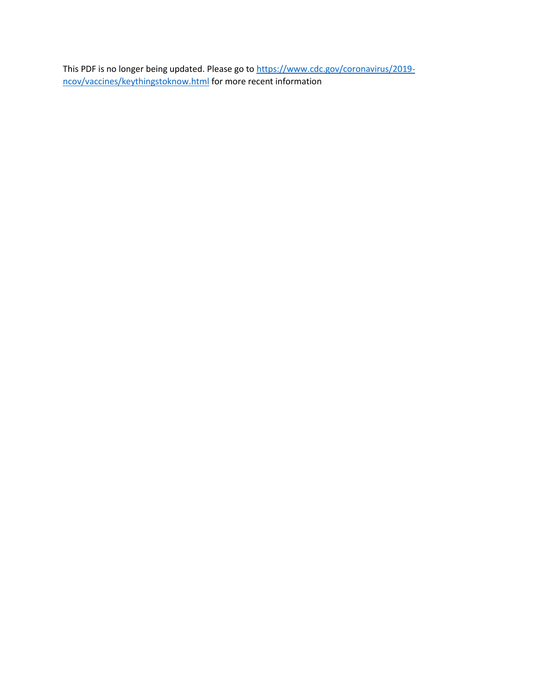This PDF is no longer being updated. Please go to [https://www.cdc.gov/coronavirus/2019](https://www.cdc.gov/coronavirus/2019-ncov/vaccines/keythingstoknow.html) [ncov/vaccines/keythingstoknow.html](https://www.cdc.gov/coronavirus/2019-ncov/vaccines/keythingstoknow.html) for more recent information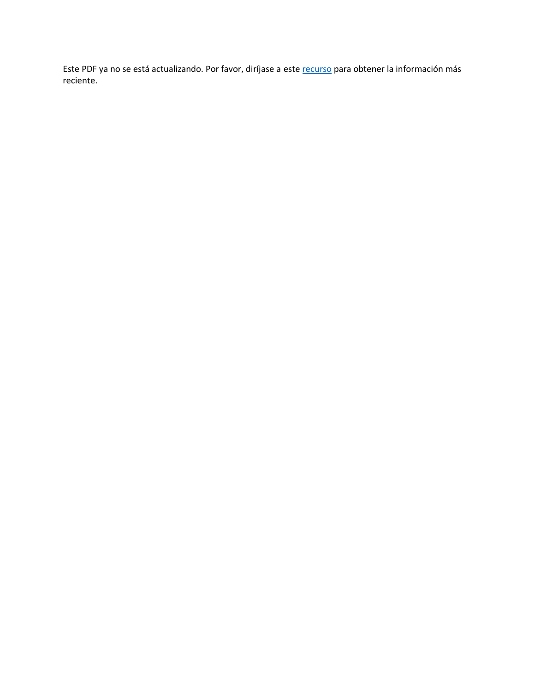Este PDF ya no se está actualizando. Por favor, diríjase a este [recurso](https://www.cdc.gov/coronavirus/2019-ncov/) para obtener la información más reciente.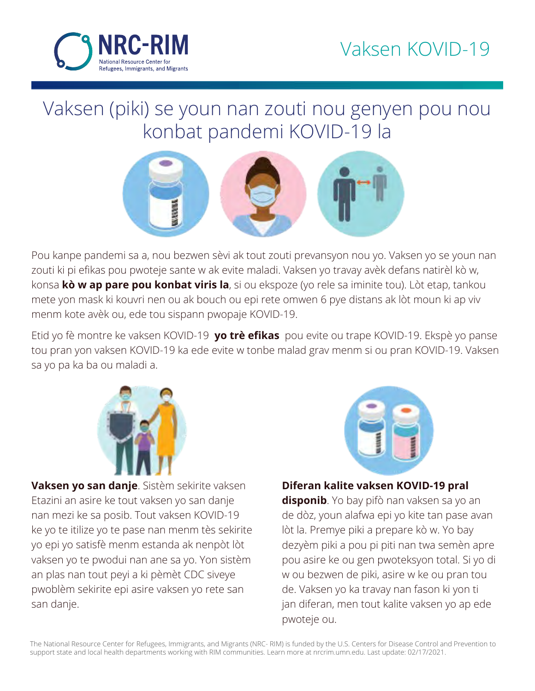

## Vaksen (piki) se youn nan zouti nou genyen pou nou konbat pandemi KOVID-19 la



Pou kanpe pandemi sa a, nou bezwen sèvi ak tout zouti prevansyon nou yo. Vaksen yo se youn nan zouti ki pi efikas pou pwoteje sante w ak evite maladi. Vaksen yo travay avèk defans natirèl kò w, konsa **kò w ap pare pou konbat viris la**, si ou ekspoze (yo rele sa iminite tou). Lòt etap, tankou mete yon mask ki kouvri nen ou ak bouch ou epi rete omwen 6 pye distans ak lòt moun ki ap viv menm kote avèk ou, ede tou sispann pwopaje KOVID-19.

Etid yo fè montre ke vaksen KOVID-19 **yo trè efikas** pou evite ou trape KOVID-19. Ekspè yo panse tou pran yon vaksen KOVID-19 ka ede evite w tonbe malad grav menm si ou pran KOVID-19. Vaksen sa yo pa ka ba ou maladi a.



**Vaksen yo san danje**. Sistèm sekirite vaksen Etazini an asire ke tout vaksen yo san danje nan mezi ke sa posib. Tout vaksen KOVID-19 ke yo te itilize yo te pase nan menm tès sekirite yo epi yo satisfè menm estanda ak nenpòt lòt vaksen yo te pwodui nan ane sa yo. Yon sistèm an plas nan tout peyi a ki pèmèt CDC siveye pwoblèm sekirite epi asire vaksen yo rete san san danje.



## **Diferan kalite vaksen KOVID-19 pral**

**disponib**. Yo bay pifò nan vaksen sa yo an de dòz, youn alafwa epi yo kite tan pase avan lòt la. Premye piki a prepare kò w. Yo bay dezyèm piki a pou pi piti nan twa semèn apre pou asire ke ou gen pwoteksyon total. Si yo di w ou bezwen de piki, asire w ke ou pran tou de. Vaksen yo ka travay nan fason ki yon ti jan diferan, men tout kalite vaksen yo ap ede pwoteje ou.